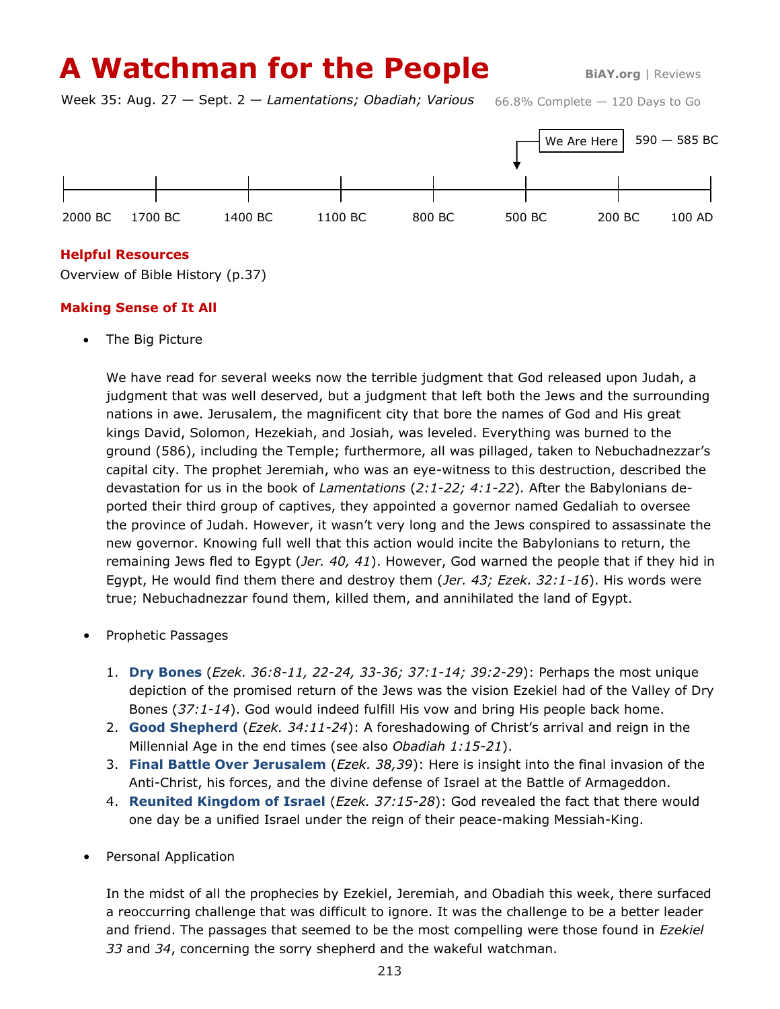# **A Watchman for the People** BIAY.org | Reviews

66.8% Complete — 120 Days to Go Week 35: Aug. 27 — Sept. 2 — *Lamentations; Obadiah; Various*



### **Helpful Resources**

Overview of Bible History (p.37)

## **Making Sense of It All**

The Big Picture

We have read for several weeks now the terrible judgment that God released upon Judah, a judgment that was well deserved, but a judgment that left both the Jews and the surrounding nations in awe. Jerusalem, the magnificent city that bore the names of God and His great kings David, Solomon, Hezekiah, and Josiah, was leveled. Everything was burned to the ground (586), including the Temple; furthermore, all was pillaged, taken to Nebuchadnezzar's capital city. The prophet Jeremiah, who was an eye-witness to this destruction, described the devastation for us in the book of *Lamentations* (*2:1-22; 4:1-22*)*.* After the Babylonians deported their third group of captives, they appointed a governor named Gedaliah to oversee the province of Judah. However, it wasn't very long and the Jews conspired to assassinate the new governor. Knowing full well that this action would incite the Babylonians to return, the remaining Jews fled to Egypt (*Jer. 40, 41*). However, God warned the people that if they hid in Egypt, He would find them there and destroy them (*Jer. 43; Ezek. 32:1-16*). His words were true; Nebuchadnezzar found them, killed them, and annihilated the land of Egypt.

- Prophetic Passages
	- 1. **Dry Bones** (*Ezek. 36:8-11, 22-24, 33-36; 37:1-14; 39:2-29*): Perhaps the most unique depiction of the promised return of the Jews was the vision Ezekiel had of the Valley of Dry Bones (*37:1-14*). God would indeed fulfill His vow and bring His people back home.
	- 2. **Good Shepherd** (*Ezek. 34:11-24*): A foreshadowing of Christ's arrival and reign in the Millennial Age in the end times (see also *Obadiah 1:15-21*).
	- 3. **Final Battle Over Jerusalem** (*Ezek. 38,39*): Here is insight into the final invasion of the Anti-Christ, his forces, and the divine defense of Israel at the Battle of Armageddon.
	- 4. **Reunited Kingdom of Israel** (*Ezek. 37:15-28*): God revealed the fact that there would one day be a unified Israel under the reign of their peace-making Messiah-King.
- Personal Application

In the midst of all the prophecies by Ezekiel, Jeremiah, and Obadiah this week, there surfaced a reoccurring challenge that was difficult to ignore. It was the challenge to be a better leader and friend. The passages that seemed to be the most compelling were those found in *Ezekiel 33* and *34*, concerning the sorry shepherd and the wakeful watchman.